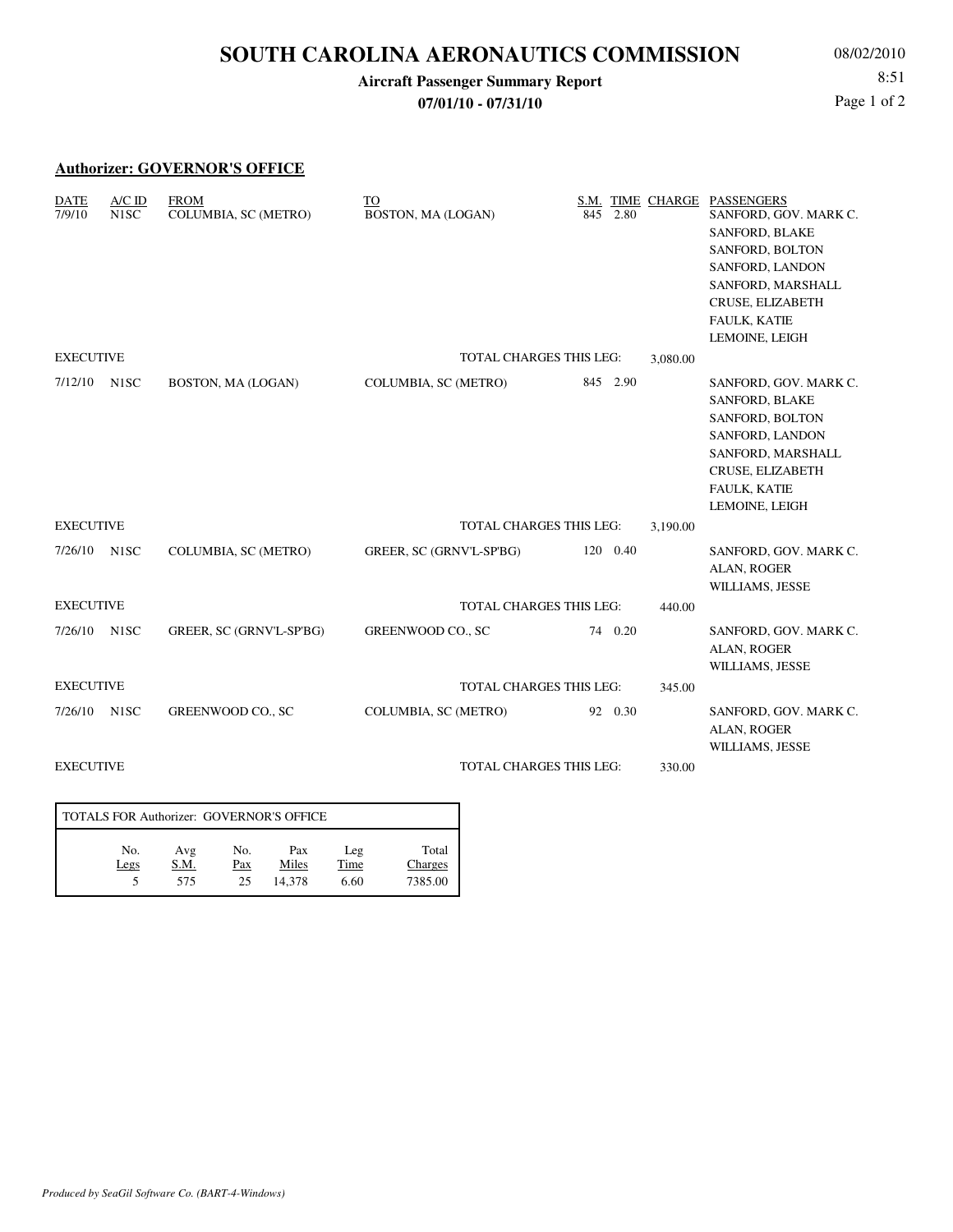# **SOUTH CAROLINA AERONAUTICS COMMISSION**

#### **Aircraft Passenger Summary Report 07/01/10 - 07/31/10**

08/02/2010 8:51 Page 1 of 2

### **Authorizer: GOVERNOR'S OFFICE**

| <b>DATE</b><br>7/9/10 | $A/C$ ID<br>N <sub>1</sub> SC | <b>FROM</b><br>COLUMBIA, SC (METRO) | TO<br>BOSTON, MA (LOGAN)       | 845      | 2.80 | S.M. TIME CHARGE | <b>PASSENGERS</b><br>SANFORD, GOV. MARK C.<br><b>SANFORD, BLAKE</b><br>SANFORD, BOLTON<br>SANFORD, LANDON<br>SANFORD, MARSHALL<br>CRUSE, ELIZABETH<br>FAULK, KATIE<br>LEMOINE, LEIGH |
|-----------------------|-------------------------------|-------------------------------------|--------------------------------|----------|------|------------------|--------------------------------------------------------------------------------------------------------------------------------------------------------------------------------------|
| <b>EXECUTIVE</b>      |                               |                                     | TOTAL CHARGES THIS LEG:        |          |      | 3,080.00         |                                                                                                                                                                                      |
| 7/12/10               | N <sub>1</sub> SC             | BOSTON, MA (LOGAN)                  | COLUMBIA, SC (METRO)           | 845 2.90 |      |                  | SANFORD, GOV. MARK C.<br><b>SANFORD, BLAKE</b><br>SANFORD, BOLTON<br>SANFORD, LANDON<br>SANFORD, MARSHALL<br>CRUSE, ELIZABETH<br><b>FAULK, KATIE</b><br>LEMOINE, LEIGH               |
| <b>EXECUTIVE</b>      |                               |                                     | TOTAL CHARGES THIS LEG:        |          |      | 3,190.00         |                                                                                                                                                                                      |
| 7/26/10               | N <sub>1</sub> SC             | COLUMBIA, SC (METRO)                | GREER, SC (GRNV'L-SP'BG)       | 120 0.40 |      |                  | SANFORD, GOV. MARK C.<br>ALAN, ROGER<br>WILLIAMS, JESSE                                                                                                                              |
| <b>EXECUTIVE</b>      |                               |                                     | <b>TOTAL CHARGES THIS LEG:</b> |          |      | 440.00           |                                                                                                                                                                                      |
| 7/26/10               | N <sub>1</sub> SC             | GREER, SC (GRNV'L-SP'BG)            | GREENWOOD CO., SC              | 74 0.20  |      |                  | SANFORD, GOV. MARK C.<br>ALAN, ROGER<br>WILLIAMS, JESSE                                                                                                                              |
| <b>EXECUTIVE</b>      |                               |                                     | <b>TOTAL CHARGES THIS LEG:</b> |          |      | 345.00           |                                                                                                                                                                                      |
| 7/26/10               | N <sub>1</sub> SC             | GREENWOOD CO., SC                   | COLUMBIA, SC (METRO)           | 92 0.30  |      |                  | SANFORD, GOV. MARK C.<br>ALAN, ROGER<br>WILLIAMS, JESSE                                                                                                                              |
| <b>EXECUTIVE</b>      |                               |                                     | TOTAL CHARGES THIS LEG:        |          |      | 330.00           |                                                                                                                                                                                      |

| TOTALS FOR Authorizer: GOVERNOR'S OFFICE |                    |                  |                        |                     |                             |  |  |  |  |
|------------------------------------------|--------------------|------------------|------------------------|---------------------|-----------------------------|--|--|--|--|
| No.<br>Legs                              | Avg<br>S.M.<br>575 | No.<br>Pax<br>25 | Pax<br>Miles<br>14.378 | Leg<br>Time<br>6.60 | Total<br>Charges<br>7385.00 |  |  |  |  |